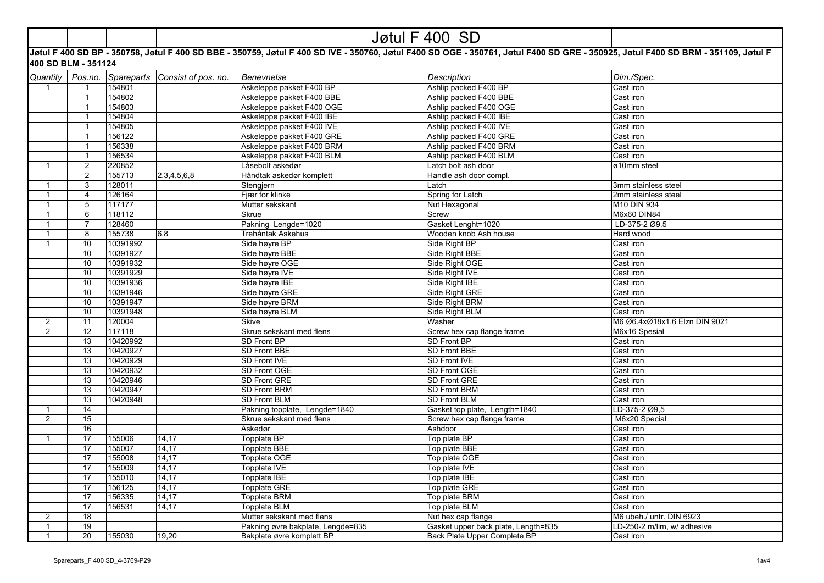|                              |                     | Jøtul F 400 SD |                                |                                   |                                                                                                                                                                                   |                               |  |
|------------------------------|---------------------|----------------|--------------------------------|-----------------------------------|-----------------------------------------------------------------------------------------------------------------------------------------------------------------------------------|-------------------------------|--|
|                              | 400 SD BLM - 351124 |                |                                |                                   | Jøtul F 400 SD BP - 350758, Jøtul F 400 SD BBE - 350759, Jøtul F 400 SD IVE - 350760, Jøtul F400 SD OGE - 350761, Jøtul F400 SD GRE - 350925, Jøtul F400 SD BRM - 351109, Jøtul F |                               |  |
| Quantity                     | Pos.no.             |                | Spareparts Consist of pos. no. | <b>Benevnelse</b>                 | <b>Description</b>                                                                                                                                                                | Dim./Spec.                    |  |
| $\mathbf{1}$                 | $\overline{1}$      | 154801         |                                | Askeleppe pakket F400 BP          | Ashlip packed F400 BP                                                                                                                                                             | Cast iron                     |  |
|                              | $\mathbf{1}$        | 154802         |                                | Askeleppe pakket F400 BBE         | Ashlip packed F400 BBE                                                                                                                                                            | Cast iron                     |  |
|                              | $\mathbf{1}$        | 154803         |                                | Askeleppe pakket F400 OGE         | Ashlip packed F400 OGE                                                                                                                                                            | Cast iron                     |  |
|                              | $\overline{1}$      | 154804         |                                | Askeleppe pakket F400 IBE         | Ashlip packed F400 IBE                                                                                                                                                            | Cast iron                     |  |
|                              | $\mathbf{1}$        | 154805         |                                | Askeleppe pakket F400 IVE         | Ashlip packed F400 IVE                                                                                                                                                            | Cast iron                     |  |
|                              | $\mathbf{1}$        | 156122         |                                | Askeleppe pakket F400 GRE         | Ashlip packed F400 GRE                                                                                                                                                            | Cast iron                     |  |
|                              | $\mathbf{1}$        | 156338         |                                | Askeleppe pakket F400 BRM         | Ashlip packed F400 BRM                                                                                                                                                            | Cast iron                     |  |
|                              | $\mathbf{1}$        | 156534         |                                | Askeleppe pakket F400 BLM         | Ashlip packed F400 BLM                                                                                                                                                            | Cast iron                     |  |
| $\mathbf{1}$                 | $\overline{c}$      | 220852         |                                | Låsebolt askedør                  | Latch bolt ash door                                                                                                                                                               | ø10mm steel                   |  |
|                              | 2                   | 155713         | 2,3,4,5,6,8                    | Håndtak askedør komplett          | Handle ash door compl.                                                                                                                                                            |                               |  |
| $\mathbf{1}$                 | 3                   | 128011         |                                | Stengjern                         | Latch                                                                                                                                                                             | 3mm stainless steel           |  |
| $\mathbf{1}$                 | $\overline{4}$      | 126164         |                                | Fjær for klinke                   | Spring for Latch                                                                                                                                                                  | 2mm stainless steel           |  |
| $\mathbf{1}$                 | $\overline{5}$      | 117177         |                                |                                   |                                                                                                                                                                                   | M10 DIN 934                   |  |
| $\mathbf{1}$                 | 6                   | 118112         |                                | Mutter sekskant<br><b>Skrue</b>   | Nut Hexagonal<br>Screw                                                                                                                                                            | M6x60 DIN84                   |  |
|                              | $\overline{7}$      | 128460         |                                | Pakning Lengde=1020               |                                                                                                                                                                                   |                               |  |
| $\mathbf{1}$<br>$\mathbf{1}$ |                     |                |                                | Trehåntak Askehus                 | Gasket Lenght=1020                                                                                                                                                                | LD-375-2 Ø9,5                 |  |
|                              | 8                   | 155738         | 6,8                            |                                   | Wooden knob Ash house                                                                                                                                                             | Hard wood                     |  |
| $\mathbf{1}$                 | 10                  | 10391992       |                                | Side høyre BP                     | Side Right BP                                                                                                                                                                     | Cast iron                     |  |
|                              | 10                  | 10391927       |                                | Side høyre BBE                    | Side Right BBE                                                                                                                                                                    | Cast iron                     |  |
|                              | 10                  | 10391932       |                                | Side høyre OGE                    | Side Right OGE                                                                                                                                                                    | Cast iron                     |  |
|                              | 10                  | 10391929       |                                | Side høyre IVE                    | Side Right IVE                                                                                                                                                                    | Cast iron                     |  |
|                              | 10                  | 10391936       |                                | Side høyre IBE                    | Side Right IBE                                                                                                                                                                    | Cast iron                     |  |
|                              | 10                  | 10391946       |                                | Side høyre GRE                    | Side Right GRE                                                                                                                                                                    | Cast iron                     |  |
|                              | 10                  | 10391947       |                                | Side høyre BRM                    | Side Right BRM                                                                                                                                                                    | Cast iron                     |  |
|                              | 10                  | 10391948       |                                | Side høyre BLM                    | Side Right BLM                                                                                                                                                                    | Cast iron                     |  |
| $\overline{a}$               | 11                  | 120004         |                                | Skive                             | Washer                                                                                                                                                                            | M6 Ø6.4xØ18x1.6 Elzn DIN 9021 |  |
| $\overline{2}$               | 12                  | 117118         |                                | Skrue sekskant med flens          | Screw hex cap flange frame                                                                                                                                                        | M6x16 Spesial                 |  |
|                              | 13                  | 10420992       |                                | SD Front BP                       | SD Front BP                                                                                                                                                                       | Cast iron                     |  |
|                              | 13                  | 10420927       |                                | SD Front BBE                      | SD Front BBE                                                                                                                                                                      | Cast iron                     |  |
|                              | 13                  | 10420929       |                                | SD Front IVE                      | SD Front IVE                                                                                                                                                                      | Cast iron                     |  |
|                              | 13                  | 10420932       |                                | SD Front OGE                      | SD Front OGE                                                                                                                                                                      | Cast iron                     |  |
|                              | 13                  | 10420946       |                                | SD Front GRE                      | SD Front GRE                                                                                                                                                                      | Cast iron                     |  |
|                              | 13                  | 10420947       |                                | <b>SD Front BRM</b>               | SD Front BRM                                                                                                                                                                      | Cast iron                     |  |
|                              | 13                  | 10420948       |                                | <b>SD Front BLM</b>               | <b>SD Front BLM</b>                                                                                                                                                               | Cast iron                     |  |
| $\mathbf{1}$                 | 14                  |                |                                | Pakning topplate, Lengde=1840     | Gasket top plate, Length=1840                                                                                                                                                     | LD-375-2 Ø9,5                 |  |
| $\overline{2}$               | 15                  |                |                                | Skrue sekskant med flens          | Screw hex cap flange frame                                                                                                                                                        | M6x20 Special                 |  |
|                              | 16                  |                |                                | Askedør                           | Ashdoor                                                                                                                                                                           | Cast iron                     |  |
| $\mathbf{1}$                 | 17                  | 155006         | 14,17                          | Topplate BP                       | Top plate BP                                                                                                                                                                      | Cast iron                     |  |
|                              | 17                  | 155007         | 14,17                          | <b>Topplate BBE</b>               | Top plate BBE                                                                                                                                                                     | Cast iron                     |  |
|                              | 17                  | 155008         | 14,17                          | Topplate OGE                      | Top plate OGE                                                                                                                                                                     | Cast iron                     |  |
|                              | 17                  | 155009         | 14,17                          | Topplate IVE                      | Top plate IVE                                                                                                                                                                     | Cast iron                     |  |
|                              | 17                  | 155010         | 14,17                          | Topplate IBE                      | Top plate IBE                                                                                                                                                                     | Cast iron                     |  |
|                              | 17                  | 156125         | 14,17                          | <b>Topplate GRE</b>               | Top plate GRE                                                                                                                                                                     | Cast iron                     |  |
|                              | 17                  | 156335         | 14,17                          | Topplate BRM                      | Top plate BRM                                                                                                                                                                     | Cast iron                     |  |
|                              | 17                  | 156531         | 14,17                          | Topplate BLM                      | Top plate BLM                                                                                                                                                                     | Cast iron                     |  |
| $\overline{a}$               | 18                  |                |                                | Mutter sekskant med flens         | Nut hex cap flange                                                                                                                                                                | M6 ubeh./ untr. DIN 6923      |  |
| $\mathbf{1}$                 | 19                  |                |                                | Pakning øvre bakplate, Lengde=835 | Gasket upper back plate, Length=835                                                                                                                                               | LD-250-2 m/lim, w/ adhesive   |  |
| $\mathbf{1}$                 | 20                  | 155030         | 19,20                          | Bakplate øvre komplett BP         | Back Plate Upper Complete BP                                                                                                                                                      | Cast iron                     |  |
|                              |                     |                |                                |                                   |                                                                                                                                                                                   |                               |  |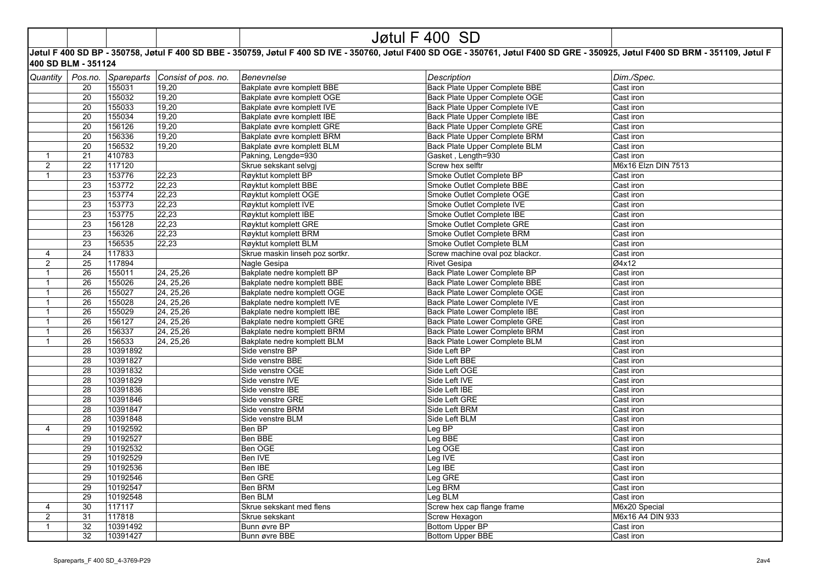|  | - -<br>1 <i>1</i> A L<br>. .<br>$\overline{v}$ |  |
|--|------------------------------------------------|--|
|  |                                                |  |

## **Jøtul F 400 SD BP - 350758, Jøtul F 400 SD BBE - 350759, Jøtul F 400 SD IVE - 350760, Jøtul F400 SD OGE - 350761, Jøtul F400 SD GRE - 350925, Jøtul F400 SD BRM - 351109, Jøtul F 400 SD BLM - 351124**

| Quantity       | Pos.no.         | Spareparts | Consist of pos. no. | Benevnelse                      | <b>Description</b>                   | Dim./Spec.          |
|----------------|-----------------|------------|---------------------|---------------------------------|--------------------------------------|---------------------|
|                | 20              | 155031     | 19,20               | Bakplate øvre komplett BBE      | <b>Back Plate Upper Complete BBE</b> | Cast iron           |
|                | 20              | 155032     | 19,20               | Bakplate øvre komplett OGE      | <b>Back Plate Upper Complete OGE</b> | Cast iron           |
|                | 20              | 155033     | 19,20               | Bakplate øvre komplett IVE      | Back Plate Upper Complete IVE        | Cast iron           |
|                | 20              | 155034     | 19,20               | Bakplate øvre komplett IBE      | Back Plate Upper Complete IBE        | Cast iron           |
|                | 20              | 156126     | 19,20               | Bakplate øvre komplett GRE      | Back Plate Upper Complete GRE        | Cast iron           |
|                | 20              | 156336     | 19,20               | Bakplate øvre komplett BRM      | <b>Back Plate Upper Complete BRM</b> | Cast iron           |
|                | 20              | 156532     | 19,20               | Bakplate øvre komplett BLM      | Back Plate Upper Complete BLM        | Cast iron           |
| $\mathbf{1}$   | 21              | 410783     |                     | Pakning, Lengde=930             | Gasket, Length=930                   | Cast iron           |
| $\overline{2}$ | 22              | 117120     |                     | Skrue sekskant selvgi           | Screw hex selftr                     | M6x16 Elzn DIN 7513 |
| $\mathbf{1}$   | 23              | 153776     | 22,23               | Røyktut komplett BP             | Smoke Outlet Complete BP             | Cast iron           |
|                | $\overline{23}$ | 153772     | 22,23               | Røyktut komplett BBE            | Smoke Outlet Complete BBE            | Cast iron           |
|                | $\overline{23}$ | 153774     | 22,23               | Røyktut komplett OGE            | Smoke Outlet Complete OGE            | Cast iron           |
|                | 23              | 153773     | 22,23               | Røyktut komplett IVE            | Smoke Outlet Complete IVE            | Cast iron           |
|                | $\overline{23}$ | 153775     | 22,23               | Røyktut komplett IBE            | Smoke Outlet Complete IBE            | Cast iron           |
|                | 23              | 156128     | 22,23               | Røyktut komplett GRE            | Smoke Outlet Complete GRE            | Cast iron           |
|                | 23              | 156326     | 22,23               | Røyktut komplett BRM            | Smoke Outlet Complete BRM            | Cast iron           |
|                | 23              | 156535     | 22,23               | Røyktut komplett BLM            | Smoke Outlet Complete BLM            | Cast iron           |
| 4              | 24              | 117833     |                     | Skrue maskin linseh poz sortkr. | Screw machine oval poz blackcr.      | Cast iron           |
| $\overline{2}$ | 25              | 117894     |                     | Nagle Gesipa                    | <b>Rivet Gesipa</b>                  | Ø4x12               |
| $\mathbf{1}$   | 26              | 155011     | 24, 25, 26          | Bakplate nedre komplett BP      | <b>Back Plate Lower Complete BP</b>  | Cast iron           |
| $\overline{1}$ | 26              | 155026     | 24, 25, 26          | Bakplate nedre komplett BBE     | <b>Back Plate Lower Complete BBE</b> | Cast iron           |
| $\mathbf{1}$   | 26              | 155027     | 24, 25, 26          | Bakplate nedre komplett OGE     | Back Plate Lower Complete OGE        | Cast iron           |
| $\mathbf{1}$   | 26              | 155028     | 24, 25, 26          | Bakplate nedre komplett IVE     | <b>Back Plate Lower Complete IVE</b> | Cast iron           |
| $\mathbf{1}$   | $\overline{26}$ | 155029     | 24, 25, 26          | Bakplate nedre komplett IBE     | Back Plate Lower Complete IBE        | Cast iron           |
| $\mathbf{1}$   | $\overline{26}$ | 156127     | 24, 25, 26          | Bakplate nedre komplett GRE     | <b>Back Plate Lower Complete GRE</b> | Cast iron           |
| $\mathbf{1}$   | 26              | 156337     | 24, 25, 26          | Bakplate nedre komplett BRM     | Back Plate Lower Complete BRM        | Cast iron           |
| $\overline{1}$ | 26              | 156533     | 24, 25, 26          | Bakplate nedre komplett BLM     | <b>Back Plate Lower Complete BLM</b> | Cast iron           |
|                | 28              | 10391892   |                     | Side venstre BP                 | Side Left BP                         | Cast iron           |
|                | 28              | 10391827   |                     | Side venstre BBE                | Side Left BBE                        | Cast iron           |
|                | 28              | 10391832   |                     | Side venstre OGE                | Side Left OGE                        | Cast iron           |
|                | $\overline{28}$ | 10391829   |                     | Side venstre IVE                | Side Left IVE                        | Cast iron           |
|                | 28              | 10391836   |                     | Side venstre IBE                | Side Left IBE                        | Cast iron           |
|                | 28              | 10391846   |                     | Side venstre GRE                | Side Left GRE                        | Cast iron           |
|                | 28              | 10391847   |                     | Side venstre BRM                | Side Left BRM                        | Cast iron           |
|                | 28              | 10391848   |                     | Side venstre BLM                | Side Left BLM                        | Cast iron           |
| $\overline{4}$ | 29              | 10192592   |                     | Ben BP                          | Leg BP                               | Cast iron           |
|                | 29              | 10192527   |                     | Ben BBE                         | Leg BBE                              | Cast iron           |
|                | 29              | 10192532   |                     | Ben OGE                         | Leg OGE                              | Cast iron           |
|                | 29              | 10192529   |                     | Ben IVE                         | Leg IVE                              | Cast iron           |
|                | 29              | 10192536   |                     | Ben IBE                         | Leg IBE                              | Cast iron           |
|                | 29              | 10192546   |                     | <b>Ben GRE</b>                  | Leg GRE                              | Cast iron           |
|                | 29              | 10192547   |                     | <b>Ben BRM</b>                  | Leg BRM                              | Cast iron           |
|                | 29              | 10192548   |                     | Ben BLM                         | Leg BLM                              | Cast iron           |
| $\overline{4}$ | 30              | 117117     |                     | Skrue sekskant med flens        | Screw hex cap flange frame           | M6x20 Special       |
| $\overline{2}$ | 31              | 117818     |                     | Skrue sekskant                  | <b>Screw Hexagon</b>                 | M6x16 A4 DIN 933    |
| $\overline{1}$ | 32              | 10391492   |                     | Bunn øvre BP                    | <b>Bottom Upper BP</b>               | Cast iron           |
|                | 32              | 10391427   |                     | Bunn øvre BBE                   | <b>Bottom Upper BBE</b>              | Cast iron           |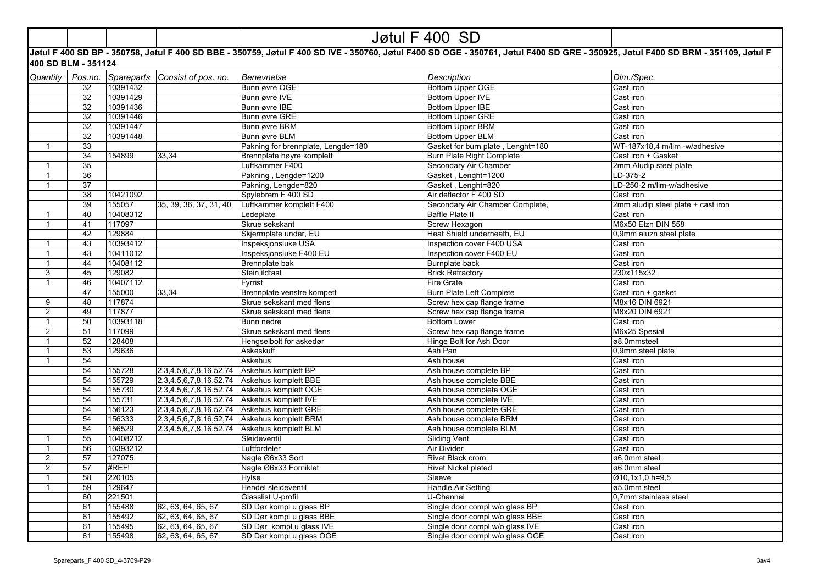|                              |                     |                      |                                 |                                    | Jøtul F 400 SD                    |                                                                                                                                                                                   |
|------------------------------|---------------------|----------------------|---------------------------------|------------------------------------|-----------------------------------|-----------------------------------------------------------------------------------------------------------------------------------------------------------------------------------|
|                              | 400 SD BLM - 351124 |                      |                                 |                                    |                                   | Jøtul F 400 SD BP - 350758, Jøtul F 400 SD BBE - 350759, Jøtul F 400 SD IVE - 350760, Jøtul F400 SD OGE - 350761, Jøtul F400 SD GRE - 350925, Jøtul F400 SD BRM - 351109, Jøtul F |
| Quantity                     | Pos.no.             | Spareparts           | Consist of pos. no.             | <b>Benevnelse</b>                  | <b>Description</b>                | Dim./Spec.                                                                                                                                                                        |
|                              | 32                  | 10391432             |                                 | Bunn øvre OGE                      | <b>Bottom Upper OGE</b>           | Cast iron                                                                                                                                                                         |
|                              | 32                  | 10391429             |                                 | Bunn øvre IVE                      | Bottom Upper IVE                  | Cast iron                                                                                                                                                                         |
|                              | 32                  | 10391436             |                                 | Bunn øvre IBE                      | <b>Bottom Upper IBE</b>           | Cast iron                                                                                                                                                                         |
|                              | 32                  | 10391446             |                                 | Bunn øvre GRE                      | <b>Bottom Upper GRE</b>           | Cast iron                                                                                                                                                                         |
|                              | 32                  | 10391447             |                                 | Bunn øvre BRM                      | <b>Bottom Upper BRM</b>           | Cast iron                                                                                                                                                                         |
|                              | 32                  | 10391448             |                                 | Bunn øvre BLM                      | <b>Bottom Upper BLM</b>           | Cast iron                                                                                                                                                                         |
| $\mathbf{1}$                 | 33                  |                      |                                 | Pakning for brennplate, Lengde=180 | Gasket for burn plate, Lenght=180 | WT-187x18,4 m/lim -w/adhesive                                                                                                                                                     |
|                              | 34                  | 154899               | 33,34                           | Brennplate høyre komplett          | Burn Plate Right Complete         | Cast iron + Gasket                                                                                                                                                                |
| $\mathbf{1}$                 | 35                  |                      |                                 | Luftkammer F400                    | Secondary Air Chamber             | 2mm Aludip steel plate                                                                                                                                                            |
| $\mathbf{1}$                 | 36                  |                      |                                 | Pakning, Lengde=1200               | Gasket, Lenght=1200               | LD-375-2                                                                                                                                                                          |
| $\mathbf{1}$                 | 37                  |                      |                                 | Pakning, Lengde=820                | Gasket, Lenght=820                | LD-250-2 m/lim-w/adhesive                                                                                                                                                         |
|                              | 38                  | 10421092             |                                 | Spylebrem F 400 SD                 | Air deflector F 400 SD            | Cast iron                                                                                                                                                                         |
|                              | 39                  | 155057               | 35, 39, 36, 37, 31, 40          | Luftkammer komplett F400           | Secondary Air Chamber Complete.   | 2mm aludip steel plate + cast iron                                                                                                                                                |
| $\mathbf{1}$                 | 40                  | 10408312             |                                 | Ledeplate                          | Baffle Plate II                   | Cast iron                                                                                                                                                                         |
| $\mathbf{1}$                 | 41                  | 117097               |                                 | Skrue sekskant                     | <b>Screw Hexagon</b>              | M6x50 Elzn DIN 558                                                                                                                                                                |
|                              | 42                  | 129884               |                                 | Skjermplate under, EU              | Heat Shield underneath, EU        | 0,9mm aluzn steel plate                                                                                                                                                           |
|                              | 43                  |                      |                                 |                                    |                                   |                                                                                                                                                                                   |
| $\mathbf{1}$<br>$\mathbf{1}$ |                     | 10393412<br>10411012 |                                 | Inspeksjonsluke USA                | Inspection cover F400 USA         | Cast iron<br>Cast iron                                                                                                                                                            |
|                              | 43                  |                      |                                 | Inspeksjonsluke F400 EU            | Inspection cover F400 EU          |                                                                                                                                                                                   |
| $\mathbf{1}$                 | 44                  | 10408112             |                                 | Brennplate bak                     | Burnplate back                    | Cast iron                                                                                                                                                                         |
| $\mathbf{3}$                 | 45                  | 129082               |                                 | Stein ildfast                      | <b>Brick Refractory</b>           | 230x115x32                                                                                                                                                                        |
| $\mathbf{1}$                 | 46                  | 10407112             |                                 | Fyrrist                            | <b>Fire Grate</b>                 | Cast iron                                                                                                                                                                         |
|                              | 47                  | 155000               | 33,34                           | Brennplate venstre kompett         | <b>Burn Plate Left Complete</b>   | Cast iron + gasket                                                                                                                                                                |
| 9                            | 48                  | 117874               |                                 | Skrue sekskant med flens           | Screw hex cap flange frame        | M8x16 DIN 6921                                                                                                                                                                    |
| $\overline{2}$               | 49                  | 117877               |                                 | Skrue sekskant med flens           | Screw hex cap flange frame        | M8x20 DIN 6921                                                                                                                                                                    |
| $\mathbf{1}$                 | 50                  | 10393118             |                                 | Bunn nedre                         | <b>Bottom Lower</b>               | Cast iron                                                                                                                                                                         |
| 2                            | 51                  | 117099               |                                 | Skrue sekskant med flens           | Screw hex cap flange frame        | M6x25 Spesial                                                                                                                                                                     |
| $\overline{1}$               | 52                  | 128408               |                                 | Hengselbolt for askedør            | Hinge Bolt for Ash Door           | ø8.0mmsteel                                                                                                                                                                       |
| $\mathbf{1}$                 | 53                  | 129636               |                                 | Askeskuff                          | Ash Pan                           | 0,9mm steel plate                                                                                                                                                                 |
| $\mathbf{1}$                 | 54                  |                      |                                 | Askehus                            | Ash house                         | Cast iron                                                                                                                                                                         |
|                              | 54                  | 155728               | 2, 3, 4, 5, 6, 7, 8, 16, 52, 74 | Askehus komplett BP                | Ash house complete BP             | Cast iron                                                                                                                                                                         |
|                              | 54                  | 155729               | 2, 3, 4, 5, 6, 7, 8, 16, 52, 74 | Askehus komplett BBE               | Ash house complete BBE            | Cast iron                                                                                                                                                                         |
|                              | 54                  | 155730               | 2, 3, 4, 5, 6, 7, 8, 16, 52, 74 | Askehus komplett OGE               | Ash house complete OGE            | Cast iron                                                                                                                                                                         |
|                              | 54                  | 155731               | 2, 3, 4, 5, 6, 7, 8, 16, 52, 74 | Askehus komplett IVE               | Ash house complete IVE            | Cast iron                                                                                                                                                                         |
|                              | 54                  | 156123               | 2, 3, 4, 5, 6, 7, 8, 16, 52, 74 | Askehus komplett GRE               | Ash house complete GRE            | Cast iron                                                                                                                                                                         |
|                              | 54                  | 156333               | 2, 3, 4, 5, 6, 7, 8, 16, 52, 74 | Askehus komplett BRM               | Ash house complete BRM            | Cast iron                                                                                                                                                                         |
|                              | 54                  | 156529               | 2, 3, 4, 5, 6, 7, 8, 16, 52, 74 | Askehus komplett BLM               | Ash house complete BLM            | Cast iron                                                                                                                                                                         |
| $\mathbf{1}$                 | 55                  | 10408212             |                                 | Sleideventil                       | <b>Sliding Vent</b>               | Cast iron                                                                                                                                                                         |
| $\mathbf{1}$                 | 56                  | 10393212             |                                 | Luftfordeler                       | <b>Air Divider</b>                | Cast iron                                                                                                                                                                         |
| 2                            | 57                  | 127075               |                                 | Nagle Ø6x33 Sort                   | Rivet Black crom.                 | ø6.0mm steel                                                                                                                                                                      |
| 2                            | 57                  | #REF!                |                                 | Nagle Ø6x33 Forniklet              | <b>Rivet Nickel plated</b>        | ø6,0mm steel                                                                                                                                                                      |
| $\mathbf{1}$                 | 58                  | 220105               |                                 | Hylse                              | Sleeve                            | Ø10,1x1,0 h=9,5                                                                                                                                                                   |
| $\mathbf{1}$                 | 59                  | 129647               |                                 | Hendel sleideventil                | Handle Air Setting                | ø5,0mm steel                                                                                                                                                                      |
|                              | 60                  | 221501               |                                 | Glasslist U-profil                 | U-Channel                         | 0,7mm stainless steel                                                                                                                                                             |
|                              | 61                  | 155488               | 62, 63, 64, 65, 67              | SD Dør kompl u glass BP            | Single door compl w/o glass BP    | Cast iron                                                                                                                                                                         |
|                              | 61                  | 155492               | 62, 63, 64, 65, 67              | SD Dør kompl u glass BBE           | Single door compl w/o glass BBE   | Cast iron                                                                                                                                                                         |
|                              | 61                  | 155495               | 62, 63, 64, 65, 67              | SD Dør kompl u glass IVE           | Single door compl w/o glass IVE   | Cast iron                                                                                                                                                                         |
|                              | 61                  | 155498               | 62, 63, 64, 65, 67              | SD Dør kompl u glass OGE           | Single door compl w/o glass OGE   | Cast iron                                                                                                                                                                         |